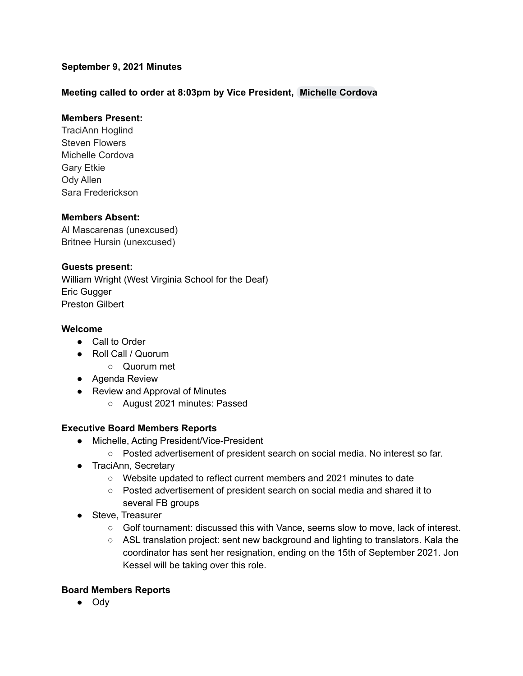## **September 9, 2021 Minutes**

## **Meeting called to order at 8:03pm by Vice President, [Michelle](mailto:mcordova@cadeaf.org) Cordova**

## **Members Present:**

TraciAnn Hoglind Steven Flowers Michelle Cordova Gary Etkie Ody Allen Sara Frederickson

#### **Members Absent:**

Al Mascarenas (unexcused) Britnee Hursin (unexcused)

## **Guests present:**

William Wright (West Virginia School for the Deaf) Eric Gugger Preston Gilbert

#### **Welcome**

- Call to Order
- Roll Call / Quorum
	- Quorum met
- Agenda Review
- Review and Approval of Minutes
	- August 2021 minutes: Passed

#### **Executive Board Members Reports**

- Michelle, Acting President/Vice-President
	- Posted advertisement of president search on social media. No interest so far.
- TraciAnn, Secretary
	- Website updated to reflect current members and 2021 minutes to date
	- Posted advertisement of president search on social media and shared it to several FB groups
- Steve, Treasurer
	- Golf tournament: discussed this with Vance, seems slow to move, lack of interest.
	- ASL translation project: sent new background and lighting to translators. Kala the coordinator has sent her resignation, ending on the 15th of September 2021. Jon Kessel will be taking over this role.

#### **Board Members Reports**

● Ody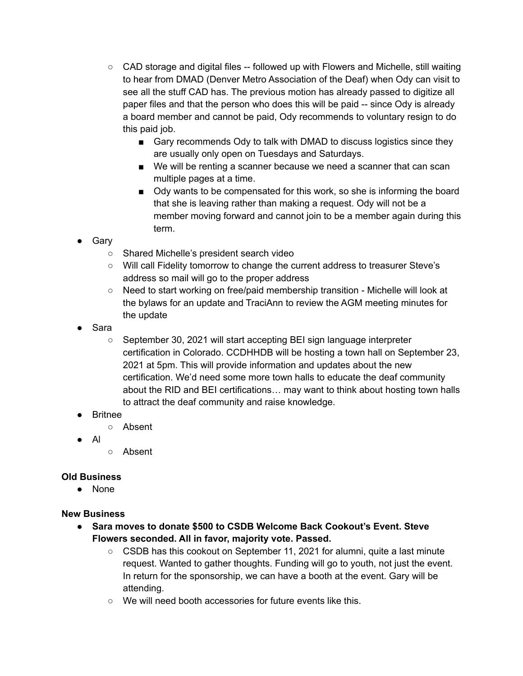- $\circ$  CAD storage and digital files  $-$  followed up with Flowers and Michelle, still waiting to hear from DMAD (Denver Metro Association of the Deaf) when Ody can visit to see all the stuff CAD has. The previous motion has already passed to digitize all paper files and that the person who does this will be paid -- since Ody is already a board member and cannot be paid, Ody recommends to voluntary resign to do this paid job.
	- Gary recommends Ody to talk with DMAD to discuss logistics since they are usually only open on Tuesdays and Saturdays.
	- We will be renting a scanner because we need a scanner that can scan multiple pages at a time.
	- Ody wants to be compensated for this work, so she is informing the board that she is leaving rather than making a request. Ody will not be a member moving forward and cannot join to be a member again during this term.
- Gary
	- Shared Michelle's president search video
	- Will call Fidelity tomorrow to change the current address to treasurer Steve's address so mail will go to the proper address
	- Need to start working on free/paid membership transition Michelle will look at the bylaws for an update and TraciAnn to review the AGM meeting minutes for the update
- Sara
	- September 30, 2021 will start accepting BEI sign language interpreter certification in Colorado. CCDHHDB will be hosting a town hall on September 23, 2021 at 5pm. This will provide information and updates about the new certification. We'd need some more town halls to educate the deaf community about the RID and BEI certifications… may want to think about hosting town halls to attract the deaf community and raise knowledge.
- Britnee
	- Absent
- Al
- Absent

# **Old Business**

● None

# **New Business**

- **● Sara moves to donate \$500 to CSDB Welcome Back Cookout's Event. Steve Flowers seconded. All in favor, majority vote. Passed.**
	- $\circ$  CSDB has this cookout on September 11, 2021 for alumni, quite a last minute request. Wanted to gather thoughts. Funding will go to youth, not just the event. In return for the sponsorship, we can have a booth at the event. Gary will be attending.
	- We will need booth accessories for future events like this.